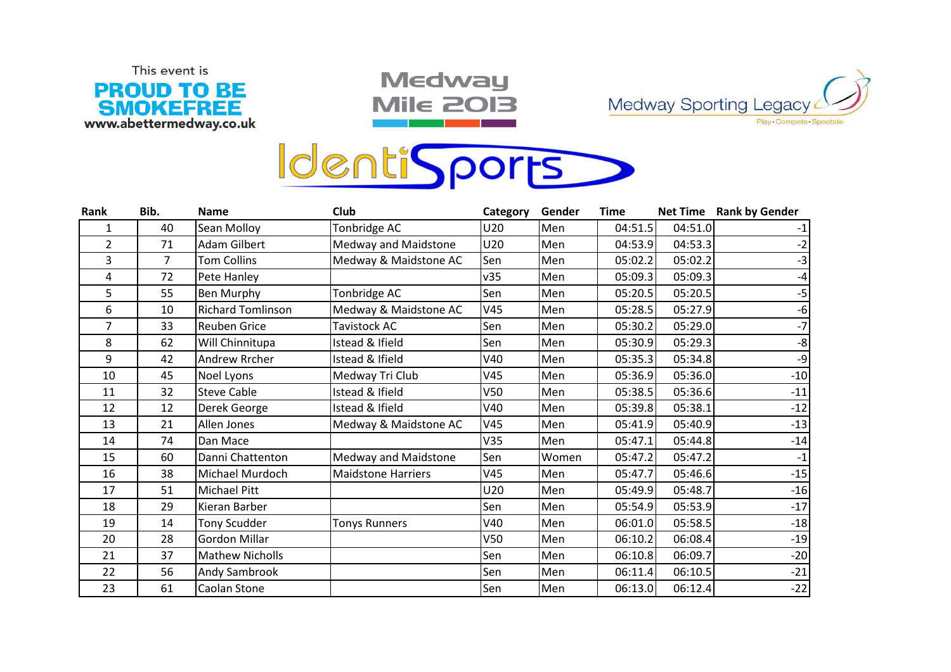

**Medway Mile 2013** 





| Rank           | Bib. | <b>Name</b>              | Club                      | Category | Gender | <b>Time</b> |         | Net Time Rank by Gender |
|----------------|------|--------------------------|---------------------------|----------|--------|-------------|---------|-------------------------|
| 1              | 40   | Sean Molloy              | Tonbridge AC              | U20      | Men    | 04:51.5     | 04:51.0 |                         |
| $\overline{2}$ | 71   | <b>Adam Gilbert</b>      | Medway and Maidstone      | U20      | Men    | 04:53.9     | 04:53.3 |                         |
| 3              | 7    | <b>Tom Collins</b>       | Medway & Maidstone AC     | Sen      | Men    | 05:02.2     | 05:02.2 | -3                      |
| 4              | 72   | Pete Hanley              |                           | v35      | Men    | 05:09.3     | 05:09.3 |                         |
| 5              | 55   | Ben Murphy               | Tonbridge AC              | Sen      | Men    | 05:20.5     | 05:20.5 | $-5$                    |
| 6              | 10   | <b>Richard Tomlinson</b> | Medway & Maidstone AC     | V45      | Men    | 05:28.5     | 05:27.9 | -6                      |
| $\overline{7}$ | 33   | Reuben Grice             | Tavistock AC              | Sen      | Men    | 05:30.2     | 05:29.0 | $-7$                    |
| 8              | 62   | Will Chinnitupa          | Istead & Ifield           | Sen      | Men    | 05:30.9     | 05:29.3 | $-8$                    |
| 9              | 42   | Andrew Rrcher            | Istead & Ifield           | V40      | Men    | 05:35.3     | 05:34.8 | -9                      |
| 10             | 45   | Noel Lyons               | Medway Tri Club           | V45      | Men    | 05:36.9     | 05:36.0 | $-10$                   |
| 11             | 32   | <b>Steve Cable</b>       | Istead & Ifield           | V50      | Men    | 05:38.5     | 05:36.6 | $-11$                   |
| 12             | 12   | Derek George             | Istead & Ifield           | V40      | Men    | 05:39.8     | 05:38.1 | $-12$                   |
| 13             | 21   | Allen Jones              | Medway & Maidstone AC     | V45      | Men    | 05:41.9     | 05:40.9 | $-13$                   |
| 14             | 74   | Dan Mace                 |                           | V35      | Men    | 05:47.1     | 05:44.8 | $-14$                   |
| 15             | 60   | Danni Chattenton         | Medway and Maidstone      | Sen      | Women  | 05:47.2     | 05:47.2 | -1                      |
| 16             | 38   | Michael Murdoch          | <b>Maidstone Harriers</b> | V45      | Men    | 05:47.7     | 05:46.6 | $-15$                   |
| 17             | 51   | <b>Michael Pitt</b>      |                           | U20      | Men    | 05:49.9     | 05:48.7 | $-16$                   |
| 18             | 29   | Kieran Barber            |                           | Sen      | Men    | 05:54.9     | 05:53.9 | $-17$                   |
| 19             | 14   | <b>Tony Scudder</b>      | <b>Tonys Runners</b>      | V40      | Men    | 06:01.0     | 05:58.5 | $-18$                   |
| 20             | 28   | <b>Gordon Millar</b>     |                           | V50      | Men    | 06:10.2     | 06:08.4 | $-19$                   |
| 21             | 37   | <b>Mathew Nicholls</b>   |                           | Sen      | Men    | 06:10.8     | 06:09.7 | $-20$                   |
| 22             | 56   | Andy Sambrook            |                           | Sen      | Men    | 06:11.4     | 06:10.5 | $-21$                   |
| 23             | 61   | Caolan Stone             |                           | Sen      | Men    | 06:13.0     | 06:12.4 | $-22$                   |